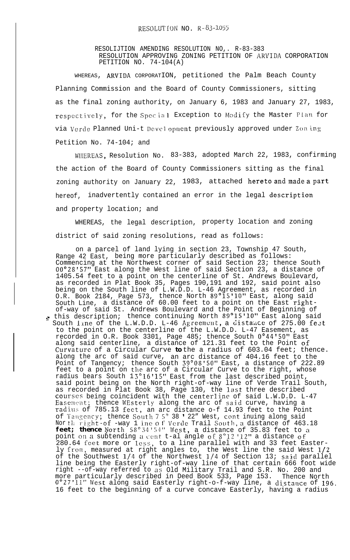RESOLIJTION AMENDING RESOLUTION NO,. R-83-383 RESOLUTION APPROVING ZONING PETITION OF ARVIDA CORPORATION PETITION NO. 74-104(A)

WHEREAS, ARVIDA CORPORATION, petitioned the Palm Beach County Planning Commission and the Board of County Commissioners, sitting as the final zoning authority, on January 6, 1983 and January 27, 1983, respectively, for the Special Exception to Modify the Master Plan for via Verde Planned Uni-t Development previously approved under Zon ing Petition No. 74-104; and

WHIEREAS, Resolution No. 83-383, adopted March 22, 1983, confirming the action of the Board of County Commissioners sitting as the final zoning authority on January 22, 1983, attached hereto and made <sup>a</sup> part hereof, inadvertently contained an error in the legal description and property location; and

WHEREAS, the legal description, property location and zoning district of said zoning resolutions, read as follows:

on a parcel of land lying in section 23, Township 47 South, Range 42 East, being more particularly described as follows: Commencing at the Northwest corner of said Section 23; thence South  $00^{\circ}28$ '57" East along the West line of said Section 23, a distance of 1405.54 feet to a point on the centerline of St. Andrews Boulevard, as recorded in Plat Book 35, Pages 190,191 and 192, said point also being on the South line of L.W.D.D. L-46 Agreement, as recorded in O.R. Book 2184, Page 573, thence North  $89^{\circ}15"10"$  East, along said South Line, a distance of 60.00 feet to a point on the East rightof-way of said St. Andrews Boulevard and the Point of Beginning of  $_{\bullet}$  this description; thence continuing North  $89^{\circ}15$ ' $10"$  East along said South line of the L.W.D.D. L-46 Agreement, a distance of 275.00 fest to the point on the centerline of the L.W.D.D. L-47 Easement, as recorded in O.R. Book 3301, Page 485; thence South O"44'50" East along said centerline, a distance of 121.31 feet to the Point of Curvature of a Circular Curve *to* the a radius of 603.04 feet; thence. along the arc of said curve, an arc distance of 404.16 feet to the Point of Tangency; thence South 39°08'50" East, a distance of 222.89 feet to a point on the arc of a Circular Curve to the right, whose radius bears South 1 3"16'15" East from the last described point, said point being on the North right-of-way line of Verde Trail South, as recorded in Plat Book 38, Page 130, the l $a$ st three described <code>courses</code> being coincident with the <code>centerline</code> of <code>said L.W.D.D. L-47</code> Easement; thence WEsterly along the arc of said curve, having a radius of 785.13 feet, an arc distance o-f 14.93 feet to the Point of Taugency; thence South 7 5° 38 ' 22" West, cont inuing along said Nor th right-of -way 1 ine o f Verde Trail South, a distance of 463.18  $\,$ **feet; thence**  $N$ orth 58°34'54" West, a distance of 35.83 feet to a point on a subtending a cent t-al angle of  $8\degree 12$  ' $12$ " a distance of 280.64 feet more or less, to a line parallel with and 33 feet Easterly from, measured at right angles to, the West line the said West  $1/2$ of the Southwest l/4 of the Northwest l/4 of Section 13; said parallel line being the Easterly right-of-way line of that certain 666 foot wide right --of-way referred to as Old Military Trail and S.R. No. 200 and more particularly described in Deed Book 533, Page 153. Thence North  $0°27'11''$  West along said Easterly right-o-f-way line, a distance of  $196\,.$ 16 feet to the beginning of a curve concave Easterly, having a radius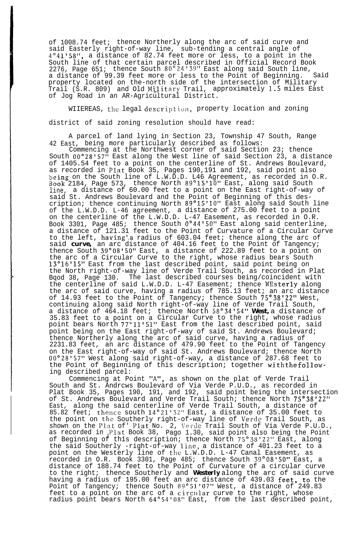of 1008.74 feet; thence Northerly along the arc of said curve and said Easterly right-of-way line, sub-tending a central angle of 4"41'58", a distance of 82.74 feet more or less, to a point in the South line of that certain parcel described in Official Record Book 2276, Page  $651$ ; thence South  $80^{\circ}$ 24'39" East along said South line, a distance of 99.39 feet more or less to the Point of Beginning. Said property located on the-north side of the intersection of Military Trail (S.R. 809) and Old Military Trail, approximately 1.5 miles East of Jog Road in an AR-Agricultural District.

WIIEREAS, the legal description, property location and zoning district of said zoning resolution should have read:

A parcel of land lying in Section 23, Township 47 South, Range 42 East, being more particularly described as follows:

Commencing at the Northwest corner of said Section 23; thence South OO"28157" East along the West line of said Section 23, a distance of 1405.54 feet to a point on the centerline of St. Andrews Boulevard, as recorded in Plat Book 35, Pages 190,191 and 192, said point also 'oeing on the South line of L.W.D.D. L46 Agreement, as recorded in O.R. Book 2184, Page 573, thence North  $89^{\circ}15"10"$  East, along said South line, a distance of 60.00 feet to a point on the East right-of-way of said St. Andrews Boulevard and the Point of Beginning of this description; thence continuing North 89"15'10" East along said South line of the L.W.D.D. L-46 agreement, a distance of 275.00 feet to a point on the centerline of the L.W.D.D. L-47 Easement, as recorded in O.R. Book 3301, Page 485; thence South O"44'50" East along said centerline, a distance of 121.31 feet to the Point of Curvature of a Circular Curve to the left, having'.a radius of 603.04 feet; thence along the arc of said *curve,* an arc distance of 404.16 feet to the Point of Tangency; thence South 39°08150" East, a distance of 222.89 feet to a point on the arc of a Circular Curve to the right, whose radius bears South 13"16'15" East from the last described point, said point being on the North right-of-way line of Verde Trail South, as recorded in Plat Bqod 38, Page 130. The last described courses being/coincident with the centerline of said L.W.D.D. L-47 Easement; thence WEsterly along the arc of said curve, having a radius of 785.13 feet; an arc distance of 14.93 feet to the Point of Tangency; thence South 75°38'22" West, continuing along said North right-of-way line of Verde Trail South, a distance of 464.18 feet; thence North 58"34'54" *West,* a distance of 35.83 feet to a point on a Circular Curve to the right, whose radius point bears North 77"ll'Sl" East from the last described point, said point being on the East right-of-way of said St. Andrews Boulevard; thence Northerly along the arc of said curve, having a radius of 2231.83 feet, an arc distance of 479.90 feet to the Point of Tangency on the East right-of-way of said St. Andrews Boulevard; thence North OO"28'57" West along said right-of-way, a distance of 287.68 feet to the Point of Beginning of this description; together with the following described parcel:

Commencing at Point "A", as shown on the plat of Verde Trail South and St. Andrcws Boulevard of Via Verde P.U.D., as recorded in Plat Book 35, Pages 190, 191, and 192, said point being the intersection of St. Andrews Boulevard and Verde Trail South; thence North  $75^{\degree}38^{\degree}22^{\prime\prime}$ East, along the said centerline of Verde Trail South, a distance of  $85.82$  feet; thence south  $14^{\circ}21'32''$  East, a distance of 35.00 feet to the point on the Southerly right-of-way line of Verde Trail South, as shown on the Plat of' Plat No. 2, \'erdc Trail South of Via Verde P.U.D., as recorded in <sub>l</sub>Plat Book 38, Pago 1.30, said point also being the Point of Beginning of this description; thence North 75"38'22" East, along the said Southerly -right-of-way line, a distance of 401.23 feet to a point on the Westerly line of the L.W.D.D. L-47 Canal Easement, as recorded in O.R. Book 3301, Page 485; thence South 39"08'50" East, a distance of 188.74 feet to the Point of Curvature of a circular curve to the right; thence Southerly and *Westerly* along the arc of said curve having a radius of 195.00 feet an arc distance of 439.03  $\texttt{feet},$   $\texttt{to}$  the Point of Tangency; thence South 89"51.'07" West, a distance of 249.83 feet to a point on the arc of a circular curve to the right, whose ... radius point bears North 64"54'08" East, from the last described point,